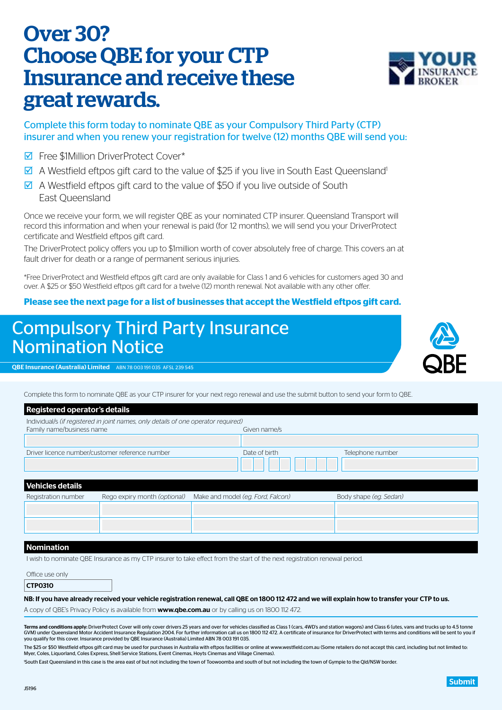## Submit

# Over 30? Choose QBE for your CTP Insurance and receive these great rewards.

## Complete this form today to nominate QBE as your Compulsory Third Party (CTP) insurer and when you renew your registration for twelve (12) months QBE will send you:

- **D** Free \$1Million DriverProtect Cover\*
- $\overline{9}$  A Westfield eftpos gift card to the value of \$25 if you live in South East Queensland<sup>1</sup>
- $\boxtimes$  A Westfield eftpos gift card to the value of \$50 if you live outside of South East Queensland

Once we receive your form, we will register QBE as your nominated CTP insurer. Queensland Transport will record this information and when your renewal is paid (for 12 months), we will send you your DriverProtect certificate and Westfield eftpos gift card.

The DriverProtect policy offers you up to \$1million worth of cover absolutely free of charge. This covers an at fault driver for death or a range of permanent serious injuries.

\*Free DriverProtect and Westfield eftpos gift card are only available for Class 1 and 6 vehicles for customers aged 30 and over. A \$25 or \$50 Westfield eftpos gift card for a twelve (12) month renewal. Not available with any other offer.

## **Please see the next page for a list of businesses that accept the Westfield eftpos gift card.**

## Compulsory Third Party Insurance Nomination Notice

QBE Insurance (Australia) Limited ABN 78 003 191 035 AFSL 239 545

Complete this form to nominate QBE as your CTP insurer for your next rego renewal and use the submit button to send your form to QBE.

| <b>Registered operator's details</b>                                               |                              |  |                                   |                        |  |  |  |
|------------------------------------------------------------------------------------|------------------------------|--|-----------------------------------|------------------------|--|--|--|
| Individual/s (if registered in joint names, only details of one operator required) |                              |  |                                   |                        |  |  |  |
| Family name/business name                                                          |                              |  | Given name/s                      |                        |  |  |  |
|                                                                                    |                              |  |                                   |                        |  |  |  |
| Driver licence number/customer reference number                                    |                              |  | Date of birth                     | Telephone number       |  |  |  |
|                                                                                    |                              |  |                                   |                        |  |  |  |
| <b>Vehicles details</b>                                                            |                              |  |                                   |                        |  |  |  |
| Registration number                                                                | Rego expiry month (optional) |  | Make and model (eg. Ford, Falcon) | Body shape (eq. Sedan) |  |  |  |
|                                                                                    |                              |  |                                   |                        |  |  |  |
|                                                                                    |                              |  |                                   |                        |  |  |  |
|                                                                                    |                              |  |                                   |                        |  |  |  |

## Nomination

I wish to nominate QBE Insurance as my CTP insurer to take effect from the start of the next registration renewal period.

| Office use only |  |
|-----------------|--|
|                 |  |

| CTP0310 |  |
|---------|--|
|         |  |

NB: If you have already received your vehicle registration renewal, call QBE on 1800 112 472 and we will explain how to transfer your CTP to us.

A copy of QBE's Privacy Policy is available from **[www.qbe.com.au](http://www.qbe.com.au)** or by calling us on 1800 112 472.

Terms and conditions apply: DriverProtect Cover will only cover drivers 25 years and over for vehicles classified as Class 1 (cars, 4WD's and station wagons) and Class 6 (utes, vans and trucks up to 4.5 tonne GVM) under Queensland Motor Accident Insurance Regulation 2004. For further information call us on 1800 112 472. A certificate of insurance for DriverProtect with terms and conditions will be sent to you if you qualify for this cover. Insurance provided by QBE Insurance (Australia) Limited ABN 78 003 191 035.

The \$25 or \$50 Westfield eftpos gift card may be used for purchases in Australia with eftpos facilities or online at www.westfield.com.au (Some retailers do not accept this card, including but not limited to: Myer, Coles, Liquorland, Coles Express, Shell Service Stations, Event Cinemas, Hoyts Cinemas and Village Cinemas).

1 South East Queensland in this case is the area east of but not including the town of Toowoomba and south of but not including the town of Gympie to the Qld/NSW border.